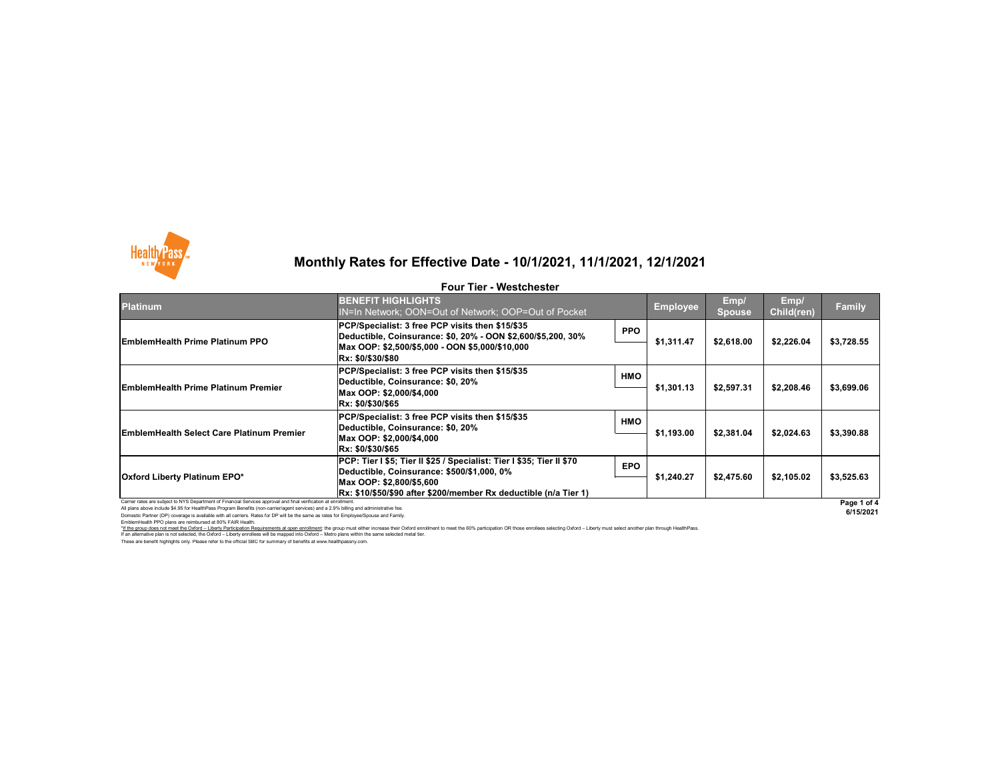All plans above include \$4.95 for HealthPass Program Benefits (non-carrier/agent services) and a 2.9% billing and administrative fee. Domestic Partner (DP) coverage is available with all carriers. Rates for DP will be the same as rates for Employee/Spouse and Family.

EmblemHealth PPO plans are reimbursed at 80% FAIR Health.



| <b>Platinum</b>                                                                                                 | <b>BENEFIT HIGHLIGHTS</b><br>IN=In Network; OON=Out of Network; OOP=Out of Pocket                                                                                                                                     |            | <b>Employee</b> | Emp/<br><b>Spouse</b> | Emp/<br><b>Child(ren)</b> | <b>Family</b> |
|-----------------------------------------------------------------------------------------------------------------|-----------------------------------------------------------------------------------------------------------------------------------------------------------------------------------------------------------------------|------------|-----------------|-----------------------|---------------------------|---------------|
| <b>EmblemHealth Prime Platinum PPO</b>                                                                          | PCP/Specialist: 3 free PCP visits then \$15/\$35<br> Deductible, Coinsurance: \$0, 20% - OON \$2,600/\$5,200, 30%<br> Max OOP: \$2,500/\$5,000 - OON \$5,000/\$10,000                                                 | <b>PPO</b> | \$1,311.47      | \$2,618.00            | \$2,226.04                | \$3,728.55    |
|                                                                                                                 | Rx: \$0/\$30/\$80                                                                                                                                                                                                     |            |                 |                       |                           |               |
| <b>EmblemHealth Prime Platinum Premier</b>                                                                      | PCP/Specialist: 3 free PCP visits then \$15/\$35<br>Deductible, Coinsurance: \$0, 20%<br>Max OOP: \$2,000/\$4,000 <br><b>Rx: \$0/\$30/\$65</b>                                                                        | <b>HMO</b> | \$1,301.13      | \$2,597.31            | \$2,208.46                | \$3,699.06    |
| <b>EmblemHealth Select Care Platinum Premier</b>                                                                | PCP/Specialist: 3 free PCP visits then \$15/\$35<br>Deductible, Coinsurance: \$0, 20%<br>Max OOP: \$2,000/\$4,000 <br><b>Rx: \$0/\$30/\$65</b>                                                                        | <b>HMO</b> | \$1,193.00      | \$2,381.04            | \$2,024.63                | \$3,390.88    |
| <b>Oxford Liberty Platinum EPO*</b>                                                                             | PCP: Tier I \$5; Tier II \$25 / Specialist: Tier I \$35; Tier II \$70<br>Deductible, Coinsurance: \$500/\$1,000, 0%<br>Max OOP: \$2,800/\$5,600 <br> Rx: \$10/\$50/\$90 after \$200/member Rx deductible (n/a Tier 1) | <b>EPO</b> | \$1,240.27      | \$2,475.60            | \$2,105.02                | \$3,525.63    |
| Carrier rates are subject to NYS Department of Financial Services approval and final verification at enrollment |                                                                                                                                                                                                                       |            |                 |                       |                           | Page 1 o      |

These are benefit highlights only. Please refer to the official SBC for summary of benefits at www.healthpassny.com. If an alternative plan is not selected, the Oxford – Liberty enrollees will be mapped into Oxford – Metro plans within the same selected metal tier.



# **Monthly Rates for Effective Date - 10/1/2021, 11/1/2021, 12/1/2021**

#### **Four Tier - Westchester**

\*If the group does not meet the Oxford - Liberty Participation Requirements at open enrollment: the group must either increase their Oxford enrollment to meet the 60% participation OR those enrollees selecting Oxford - Lib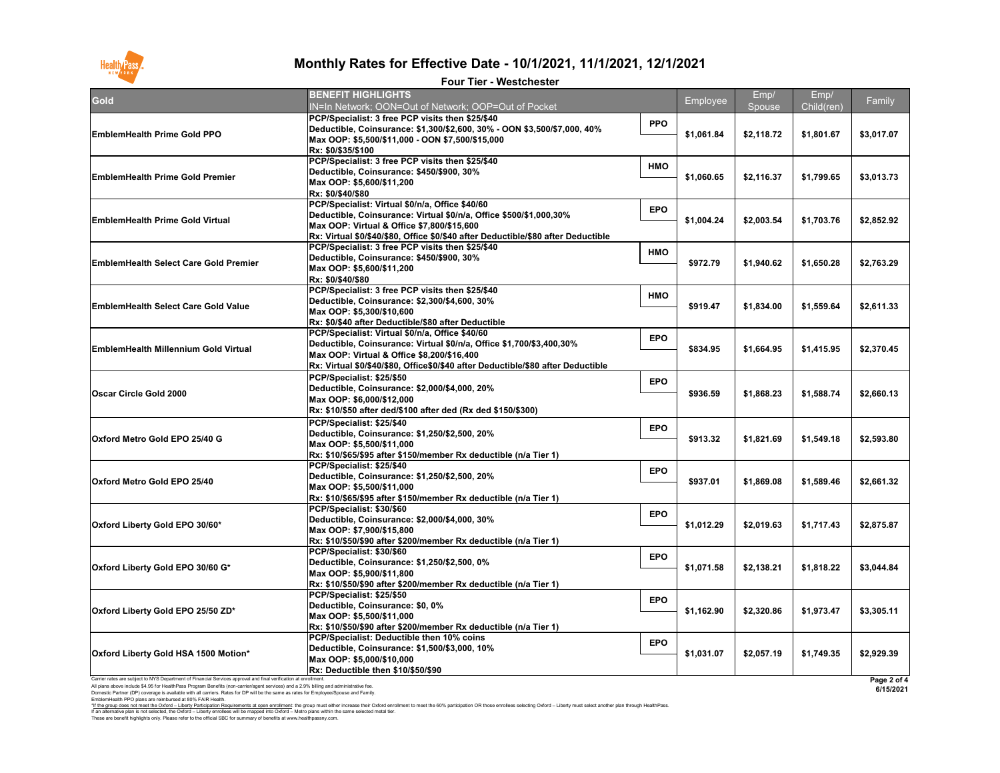EmblemHealth PPO plans are reimbursed at 80% FAIR Health.

These are benefit highlights only. Please refer to the official SBC for summary of benefits at www.healthpassny.com. \*<u>If the group does not meet the Oxford – Liberty Participation Requirements at open enrollment</u>: the group must either increase their Oxford enrollment to meet the 60% participation OR those enrollees selecting Oxford – L If an alternative plan is not selected, the Oxford – Liberty enrollees will be mapped into Oxford – Metro plans within the same selected metal tier.

| <b>Gold</b>                                                                                                                                                                                                                                                                                                                                                                                        | <b>BENEFIT HIGHLIGHTS</b><br>IN=In Network; OON=Out of Network; OOP=Out of Pocket                                                                                                                                                                                             |            | Employee   | Emp/<br>Spouse | Emp/<br>Child(ren) | Family                   |
|----------------------------------------------------------------------------------------------------------------------------------------------------------------------------------------------------------------------------------------------------------------------------------------------------------------------------------------------------------------------------------------------------|-------------------------------------------------------------------------------------------------------------------------------------------------------------------------------------------------------------------------------------------------------------------------------|------------|------------|----------------|--------------------|--------------------------|
| <b>EmblemHealth Prime Gold PPO</b>                                                                                                                                                                                                                                                                                                                                                                 | PCP/Specialist: 3 free PCP visits then \$25/\$40<br>Deductible, Coinsurance: \$1,300/\$2,600, 30% - OON \$3,500/\$7,000, 40%<br>Max OOP: \$5,500/\$11,000 - OON \$7,500/\$15,000                                                                                              | <b>PPO</b> | \$1,061.84 | \$2,118.72     | \$1,801.67         | \$3,017.07               |
| <b>EmblemHealth Prime Gold Premier</b>                                                                                                                                                                                                                                                                                                                                                             | Rx: \$0/\$35/\$100<br>PCP/Specialist: 3 free PCP visits then \$25/\$40<br>Deductible, Coinsurance: \$450/\$900, 30%<br>Max OOP: \$5,600/\$11,200                                                                                                                              | <b>HMO</b> | \$1,060.65 | \$2,116.37     | \$1,799.65         | \$3,013.73               |
| <b>EmblemHealth Prime Gold Virtual</b>                                                                                                                                                                                                                                                                                                                                                             | Rx: \$0/\$40/\$80<br>PCP/Specialist: Virtual \$0/n/a, Office \$40/60<br>Deductible, Coinsurance: Virtual \$0/n/a, Office \$500/\$1,000,30%<br>Max OOP: Virtual & Office \$7,800/\$15,600<br>Rx: Virtual \$0/\$40/\$80, Office \$0/\$40 after Deductible/\$80 after Deductible | <b>EPO</b> | \$1,004.24 | \$2,003.54     | \$1,703.76         | \$2,852.92               |
| <b>EmblemHealth Select Care Gold Premier</b>                                                                                                                                                                                                                                                                                                                                                       | PCP/Specialist: 3 free PCP visits then \$25/\$40<br>Deductible, Coinsurance: \$450/\$900, 30%<br>Max OOP: \$5,600/\$11,200<br>Rx: \$0/\$40/\$80                                                                                                                               | <b>HMO</b> | \$972.79   | \$1,940.62     | \$1,650.28         | \$2,763.29               |
| <b>EmblemHealth Select Care Gold Value</b>                                                                                                                                                                                                                                                                                                                                                         | PCP/Specialist: 3 free PCP visits then \$25/\$40<br>Deductible, Coinsurance: \$2,300/\$4,600, 30%<br>Max OOP: \$5,300/\$10,600<br>Rx: \$0/\$40 after Deductible/\$80 after Deductible                                                                                         | <b>HMO</b> | \$919.47   | \$1,834.00     | \$1,559.64         | \$2,611.33               |
| <b>EmblemHealth Millennium Gold Virtual</b>                                                                                                                                                                                                                                                                                                                                                        | PCP/Specialist: Virtual \$0/n/a, Office \$40/60<br>Deductible, Coinsurance: Virtual \$0/n/a, Office \$1,700/\$3,400,30%<br>Max OOP: Virtual & Office \$8,200/\$16,400                                                                                                         | <b>EPO</b> | \$834.95   | \$1,664.95     | \$1,415.95         | \$2,370.45               |
| <b>Oscar Circle Gold 2000</b>                                                                                                                                                                                                                                                                                                                                                                      | Rx: Virtual \$0/\$40/\$80, Office\$0/\$40 after Deductible/\$80 after Deductible<br>PCP/Specialist: \$25/\$50<br>Deductible, Coinsurance: \$2,000/\$4,000, 20%<br>Max OOP: \$6,000/\$12,000<br>Rx: \$10/\$50 after ded/\$100 after ded (Rx ded \$150/\$300)                   | <b>EPO</b> | \$936.59   | \$1,868.23     | \$1,588.74         | \$2,660.13               |
| Oxford Metro Gold EPO 25/40 G                                                                                                                                                                                                                                                                                                                                                                      | PCP/Specialist: \$25/\$40<br>Deductible, Coinsurance: \$1,250/\$2,500, 20%<br>Max OOP: \$5,500/\$11,000<br>Rx: \$10/\$65/\$95 after \$150/member Rx deductible (n/a Tier 1)                                                                                                   | <b>EPO</b> | \$913.32   | \$1,821.69     | \$1,549.18         | \$2,593.80               |
| <b>Oxford Metro Gold EPO 25/40</b>                                                                                                                                                                                                                                                                                                                                                                 | PCP/Specialist: \$25/\$40<br>Deductible, Coinsurance: \$1,250/\$2,500, 20%<br>Max OOP: \$5,500/\$11,000<br>Rx: \$10/\$65/\$95 after \$150/member Rx deductible (n/a Tier 1)                                                                                                   | <b>EPO</b> | \$937.01   | \$1,869.08     | \$1,589.46         | \$2,661.32               |
| Oxford Liberty Gold EPO 30/60*                                                                                                                                                                                                                                                                                                                                                                     | PCP/Specialist: \$30/\$60<br>Deductible, Coinsurance: \$2,000/\$4,000, 30%<br>Max OOP: \$7,900/\$15,800<br>Rx: \$10/\$50/\$90 after \$200/member Rx deductible (n/a Tier 1)                                                                                                   | <b>EPO</b> | \$1,012.29 | \$2,019.63     | \$1,717.43         | \$2,875.87               |
| Oxford Liberty Gold EPO 30/60 G*                                                                                                                                                                                                                                                                                                                                                                   | PCP/Specialist: \$30/\$60<br>Deductible, Coinsurance: \$1,250/\$2,500, 0%<br>Max OOP: \$5,900/\$11,800<br>Rx: \$10/\$50/\$90 after \$200/member Rx deductible (n/a Tier 1)                                                                                                    | <b>EPO</b> | \$1,071.58 | \$2,138.21     | \$1,818.22         | \$3,044.84               |
| Oxford Liberty Gold EPO 25/50 ZD*                                                                                                                                                                                                                                                                                                                                                                  | PCP/Specialist: \$25/\$50<br>Deductible, Coinsurance: \$0, 0%<br>Max OOP: \$5,500/\$11,000<br>Rx: \$10/\$50/\$90 after \$200/member Rx deductible (n/a Tier 1)                                                                                                                | <b>EPO</b> | \$1,162.90 | \$2,320.86     | \$1,973.47         | \$3,305.11               |
| Oxford Liberty Gold HSA 1500 Motion*                                                                                                                                                                                                                                                                                                                                                               | <b>PCP/Specialist: Deductible then 10% coins</b><br>Deductible, Coinsurance: \$1,500/\$3,000, 10%<br>Max OOP: \$5,000/\$10,000<br><b>Rx: Deductible then \$10/\$50/\$90</b>                                                                                                   | <b>EPO</b> | \$1,031.07 | \$2,057.19     | \$1,749.35         | \$2,929.39               |
| Carrier rates are subject to NYS Department of Financial Services approval and final verification at enrollment<br>All plans above include \$4.95 for HealthPass Program Benefits (non-carrier/agent services) and a 2.9% billing and administrative fee.<br>Domestic Partner (DP) coverage is available with all carriers. Rates for DP will be the same as rates for Employee/Spouse and Family. |                                                                                                                                                                                                                                                                               |            |            |                |                    | Page 2 of 4<br>6/15/2021 |



# **Monthly Rates for Effective Date - 10/1/2021, 11/1/2021, 12/1/2021**

#### **Four Tier - Westchester**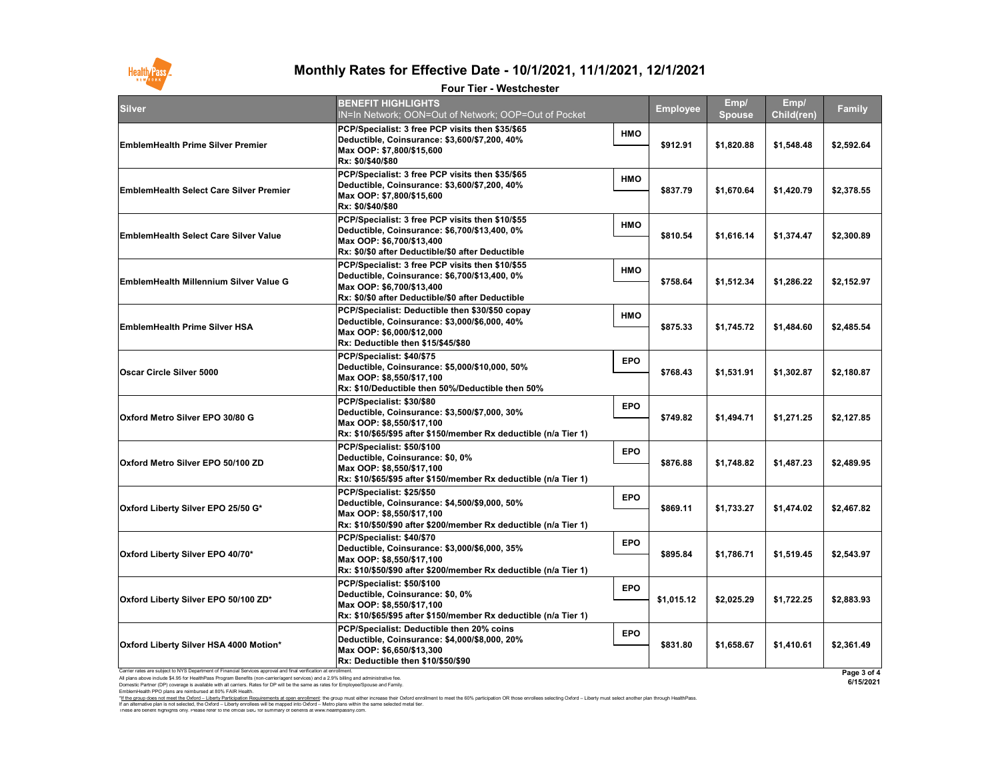Carrier rates are subject to NYS Department of Financial Services approval and final verification at enrollment.

All plans above include \$4.95 for HealthPass Program Benefits (non-carrier/agent services) and a 2.9% billing and administrative fee.

Domestic Partner (DP) coverage is available with all carriers. Rates for DP will be the same as rates for Employee/Spouse and Family.

EmblemHealth PPO plans are reimbursed at 80% FAIR Health.

These are benefit highlights only. Please refer to the official SBC for summary of benefits at www.healthpassny.com. \*If the group does not meet the Oxford - Liberty Participation Requirements at open enrollment: the group must either increase their Oxford enrollment to meet the 60% participation OR those enrollees selecting Oxford - Lib If an alternative plan is not selected, the Oxford – Liberty enrollees will be mapped into Oxford – Metro plans within the same selected metal tier.

**Page 3 of 4**

| y             |  |
|---------------|--|
| $\frac{1}{4}$ |  |
| 55            |  |
| 39            |  |
| )'            |  |
| $\mathbf{54}$ |  |
| 37            |  |
| 35            |  |
| 15            |  |
| 32            |  |
| I             |  |
| j             |  |
| L             |  |
|               |  |

**6/15/2021**



### **Monthly Rates for Effective Date - 10/1/2021, 11/1/2021, 12/1/2021**

### **Four Tier - Westchester**

| Silver                                         | <b>BENEFIT HIGHLIGHTS</b><br>IN=In Network; OON=Out of Network; OOP=Out of Pocket                                                                                                   |            | <b>Employee</b> | Emp/<br><b>Spouse</b> | Emp/<br><b>Child(ren)</b> | <b>Family</b> |
|------------------------------------------------|-------------------------------------------------------------------------------------------------------------------------------------------------------------------------------------|------------|-----------------|-----------------------|---------------------------|---------------|
| <b>EmblemHealth Prime Silver Premier</b>       | PCP/Specialist: 3 free PCP visits then \$35/\$65<br>Deductible, Coinsurance: \$3,600/\$7,200, 40%<br>Max OOP: \$7,800/\$15,600<br>Rx: \$0/\$40/\$80                                 | <b>HMO</b> | \$912.91        | \$1,820.88            | \$1,548.48                | \$2,592.64    |
| <b>EmblemHealth Select Care Silver Premier</b> | PCP/Specialist: 3 free PCP visits then \$35/\$65<br>Deductible, Coinsurance: \$3,600/\$7,200, 40%<br>Max OOP: \$7,800/\$15,600<br>Rx: \$0/\$40/\$80                                 | <b>HMO</b> | \$837.79        | \$1,670.64            | \$1,420.79                | \$2,378.55    |
| <b>EmblemHealth Select Care Silver Value</b>   | PCP/Specialist: 3 free PCP visits then \$10/\$55<br>Deductible, Coinsurance: \$6,700/\$13,400, 0%<br>Max OOP: \$6,700/\$13,400<br>Rx: \$0/\$0 after Deductible/\$0 after Deductible | <b>HMO</b> | \$810.54        | \$1,616.14            | \$1,374.47                | \$2,300.89    |
| EmblemHealth Millennium Silver Value G         | PCP/Specialist: 3 free PCP visits then \$10/\$55<br>Deductible, Coinsurance: \$6,700/\$13,400, 0%<br>Max OOP: \$6,700/\$13,400<br>Rx: \$0/\$0 after Deductible/\$0 after Deductible | <b>HMO</b> | \$758.64        | \$1,512.34            | \$1,286.22                | \$2,152.97    |
| <b>EmblemHealth Prime Silver HSA</b>           | PCP/Specialist: Deductible then \$30/\$50 copay<br>Deductible, Coinsurance: \$3,000/\$6,000, 40%<br>Max OOP: \$6,000/\$12,000<br><b>Rx: Deductible then \$15/\$45/\$80</b>          | <b>HMO</b> | \$875.33        | \$1,745.72            | \$1,484.60                | \$2,485.54    |
| <b>Oscar Circle Silver 5000</b>                | PCP/Specialist: \$40/\$75<br>Deductible, Coinsurance: \$5,000/\$10,000, 50%<br>Max OOP: \$8,550/\$17,100<br>Rx: \$10/Deductible then 50%/Deductible then 50%                        | <b>EPO</b> | \$768.43        | \$1,531.91            | \$1,302.87                | \$2,180.87    |
| <b>Oxford Metro Silver EPO 30/80 G</b>         | PCP/Specialist: \$30/\$80<br>Deductible, Coinsurance: \$3,500/\$7,000, 30%<br>Max OOP: \$8,550/\$17,100<br>Rx: \$10/\$65/\$95 after \$150/member Rx deductible (n/a Tier 1)         | <b>EPO</b> | \$749.82        | \$1,494.71            | \$1,271.25                | \$2,127.85    |
| <b>Oxford Metro Silver EPO 50/100 ZD</b>       | PCP/Specialist: \$50/\$100<br>Deductible, Coinsurance: \$0, 0%<br>Max OOP: \$8,550/\$17,100<br>Rx: \$10/\$65/\$95 after \$150/member Rx deductible (n/a Tier 1)                     | <b>EPO</b> | \$876.88        | \$1,748.82            | \$1,487.23                | \$2,489.95    |
| Oxford Liberty Silver EPO 25/50 G*             | PCP/Specialist: \$25/\$50<br>Deductible, Coinsurance: \$4,500/\$9,000, 50%<br>Max OOP: \$8,550/\$17,100<br>Rx: \$10/\$50/\$90 after \$200/member Rx deductible (n/a Tier 1)         | <b>EPO</b> | \$869.11        | \$1,733.27            | \$1,474.02                | \$2,467.82    |
| Oxford Liberty Silver EPO 40/70*               | PCP/Specialist: \$40/\$70<br>Deductible, Coinsurance: \$3,000/\$6,000, 35%<br>Max OOP: \$8,550/\$17,100<br>Rx: \$10/\$50/\$90 after \$200/member Rx deductible (n/a Tier 1)         | <b>EPO</b> | \$895.84        | \$1,786.71            | \$1,519.45                | \$2,543.97    |
| <b>Oxford Liberty Silver EPO 50/100 ZD*</b>    | PCP/Specialist: \$50/\$100<br>Deductible, Coinsurance: \$0, 0%<br>Max OOP: \$8,550/\$17,100<br>Rx: \$10/\$65/\$95 after \$150/member Rx deductible (n/a Tier 1)                     | <b>EPO</b> | \$1,015.12      | \$2,025.29            | \$1,722.25                | \$2,883.93    |
| <b>Oxford Liberty Silver HSA 4000 Motion*</b>  | PCP/Specialist: Deductible then 20% coins<br>Deductible, Coinsurance: \$4,000/\$8,000, 20%<br>Max OOP: \$6,650/\$13,300<br><b>Rx: Deductible then \$10/\$50/\$90</b>                | <b>EPO</b> | \$831.80        | \$1,658.67            | \$1,410.61                | \$2,361.49    |